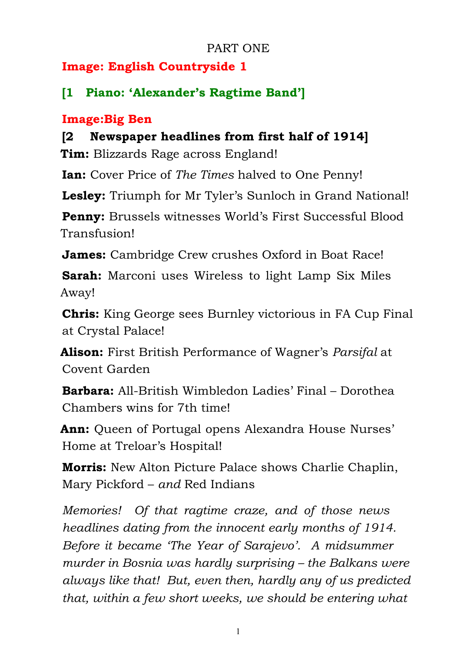### PART ONE

## **Image: English Countryside 1**

# **[1 Piano: 'Alexander's Ragtime Band']**

### **Image:Big Ben**

## **[2 Newspaper headlines from first half of 1914]**

**Tim:** Blizzards Rage across England!

**Ian:** Cover Price of *The Times* halved to One Penny!

**Lesley:** Triumph for Mr Tyler's Sunloch in Grand National!

**Penny:** Brussels witnesses World's First Successful Blood Transfusion!

**James:** Cambridge Crew crushes Oxford in Boat Race!

**Sarah:** Marconi uses Wireless to light Lamp Six Miles Away!

**Chris:** King George sees Burnley victorious in FA Cup Final at Crystal Palace!

**Alison:** First British Performance of Wagner's *Parsifal* at Covent Garden

**Barbara:** All-British Wimbledon Ladies' Final – Dorothea Chambers wins for 7th time!

**Ann:** Queen of Portugal opens Alexandra House Nurses' Home at Treloar's Hospital!

**Morris:** New Alton Picture Palace shows Charlie Chaplin, Mary Pickford – *and* Red Indians

*Memories! Of that ragtime craze, and of those news headlines dating from the innocent early months of 1914. Before it became 'The Year of Sarajevo'. A midsummer murder in Bosnia was hardly surprising – the Balkans were always like that! But, even then, hardly any of us predicted that, within a few short weeks, we should be entering what*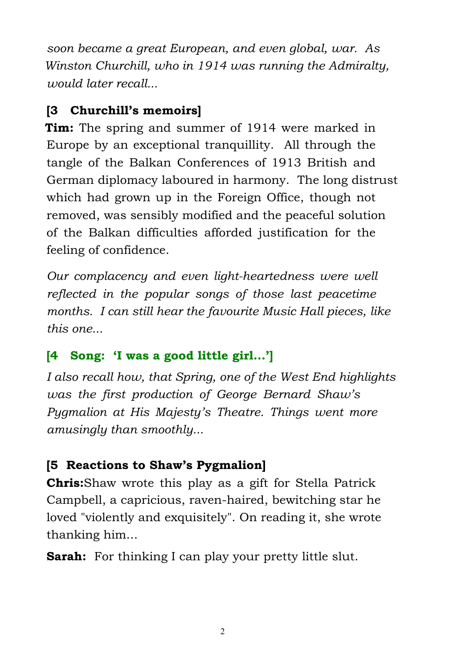*soon became a great European, and even global, war. As Winston Churchill, who in 1914 was running the Admiralty, would later recall...*

## **[3 Churchill's memoirs]**

**Tim:** The spring and summer of 1914 were marked in Europe by an exceptional tranquillity. All through the tangle of the Balkan Conferences of 1913 British and German diplomacy laboured in harmony. The long distrust which had grown up in the Foreign Office, though not removed, was sensibly modified and the peaceful solution of the Balkan difficulties afforded justification for the feeling of confidence.

*Our complacency and even light-heartedness were well reflected in the popular songs of those last peacetime months. I can still hear the favourite Music Hall pieces, like this one...*

## **[4 Song: 'I was a good little girl...']**

*I also recall how, that Spring, one of the West End highlights was the first production of George Bernard Shaw's Pygmalion at His Majesty's Theatre. Things went more amusingly than smoothly...*

## **[5 Reactions to Shaw's Pygmalion]**

**Chris:**Shaw wrote this play as a gift for Stella Patrick Campbell, a capricious, raven-haired, bewitching star he loved "violently and exquisitely". On reading it, she wrote thanking him...

**Sarah:** For thinking I can play your pretty little slut.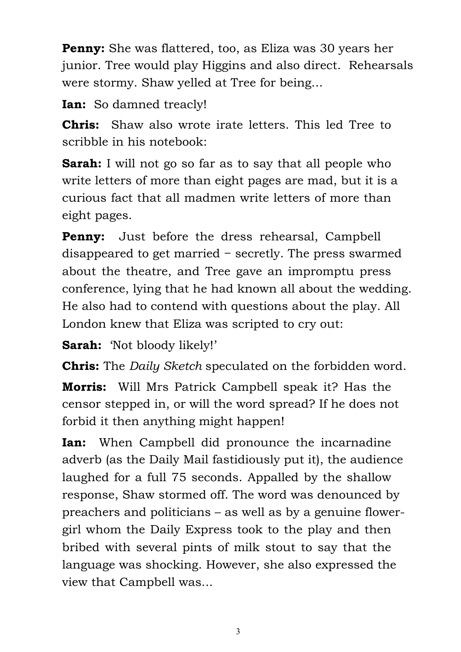**Penny:** She was flattered, too, as Eliza was 30 years her junior. Tree would play Higgins and also direct. Rehearsals were stormy. Shaw yelled at Tree for being...

**Ian:** So damned treacly!

**Chris:** Shaw also wrote irate letters. This led Tree to scribble in his notebook:

**Sarah:** I will not go so far as to say that all people who write letters of more than eight pages are mad, but it is a curious fact that all madmen write letters of more than eight pages.

**Penny:** Just before the dress rehearsal, Campbell disappeared to get married − secretly. The press swarmed about the theatre, and Tree gave an impromptu press conference, lying that he had known all about the wedding. He also had to contend with questions about the play. All London knew that Eliza was scripted to cry out:

**Sarah:** 'Not bloody likely!'

**Chris:** The *Daily Sketch* speculated on the forbidden word.

**Morris:** Will Mrs Patrick Campbell speak it? Has the censor stepped in, or will the word spread? If he does not forbid it then anything might happen!

**Ian:** When Campbell did pronounce the incarnadine adverb (as the Daily Mail fastidiously put it), the audience laughed for a full 75 seconds. Appalled by the shallow response, Shaw stormed off. The word was denounced by preachers and politicians – as well as by a genuine flowergirl whom the Daily Express took to the play and then bribed with several pints of milk stout to say that the language was shocking. However, she also expressed the view that Campbell was...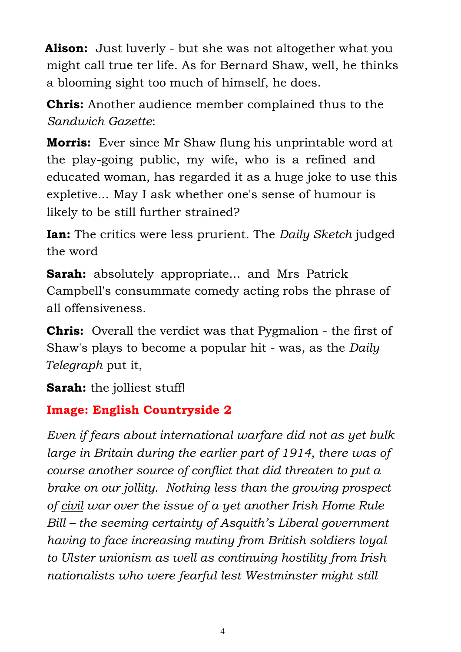**Alison:** Just luverly - but she was not altogether what you might call true ter life. As for Bernard Shaw, well, he thinks a blooming sight too much of himself, he does.

**Chris:** Another audience member complained thus to the *Sandwich Gazette*:

**Morris:** Ever since Mr Shaw flung his unprintable word at the play-going public, my wife, who is a refined and educated woman, has regarded it as a huge joke to use this expletive... May I ask whether one's sense of humour is likely to be still further strained?

**Ian:** The critics were less prurient. The *Daily Sketch* judged the word

**Sarah:** absolutely appropriate... and Mrs Patrick Campbell's consummate comedy acting robs the phrase of all offensiveness.

**Chris:** Overall the verdict was that Pygmalion - the first of Shaw's plays to become a popular hit - was, as the *Daily Telegraph* put it,

**Sarah:** the jolliest stuff!

### **Image: English Countryside 2**

*Even if fears about international warfare did not as yet bulk large in Britain during the earlier part of 1914, there was of course another source of conflict that did threaten to put a brake on our jollity. Nothing less than the growing prospect of civil war over the issue of a yet another Irish Home Rule Bill – the seeming certainty of Asquith's Liberal government having to face increasing mutiny from British soldiers loyal to Ulster unionism as well as continuing hostility from Irish nationalists who were fearful lest Westminster might still*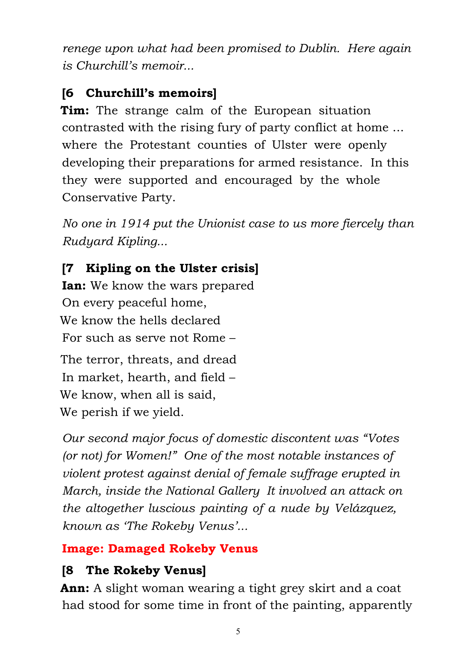*renege upon what had been promised to Dublin. Here again is Churchill's memoir...*

## **[6 Churchill's memoirs]**

**Tim:** The strange calm of the European situation contrasted with the rising fury of party conflict at home ... where the Protestant counties of Ulster were openly developing their preparations for armed resistance. In this they were supported and encouraged by the whole Conservative Party.

*No one in 1914 put the Unionist case to us more fiercely than Rudyard Kipling...*

# **[7 Kipling on the Ulster crisis]**

**Ian:** We know the wars prepared On every peaceful home, We know the hells declared For such as serve not Rome –

The terror, threats, and dread In market, hearth, and field – We know, when all is said, We perish if we yield.

*Our second major focus of domestic discontent was "Votes (or not) for Women!" One of the most notable instances of violent protest against denial of female suffrage erupted in March, inside the National Gallery It involved an attack on the altogether luscious painting of a nude by Velázquez, known as 'The Rokeby Venus'...*

## **Image: Damaged Rokeby Venus**

# **[8 The Rokeby Venus]**

**Ann:** A slight woman wearing a tight grey skirt and a coat had stood for some time in front of the painting, apparently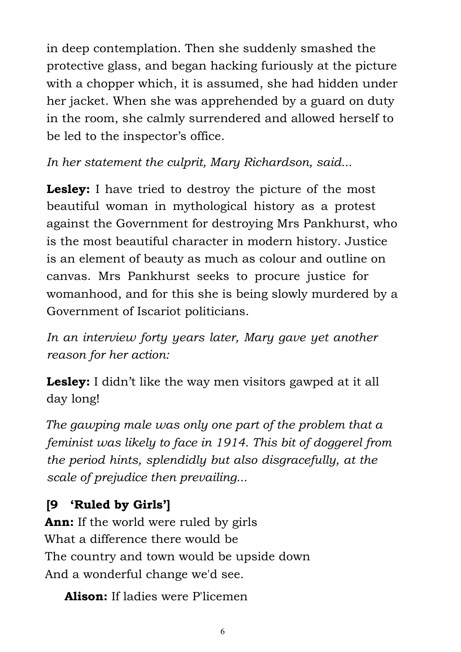in deep contemplation. Then she suddenly smashed the protective glass, and began hacking furiously at the picture with a chopper which, it is assumed, she had hidden under her jacket. When she was apprehended by a guard on duty in the room, she calmly surrendered and allowed herself to be led to the inspector's office.

*In her statement the culprit, Mary Richardson, said...*

**Lesley:** I have tried to destroy the picture of the most beautiful woman in mythological history as a protest against the Government for destroying Mrs Pankhurst, who is the most beautiful character in modern history. Justice is an element of beauty as much as colour and outline on canvas. Mrs Pankhurst seeks to procure justice for womanhood, and for this she is being slowly murdered by a Government of Iscariot politicians.

*In an interview forty years later, Mary gave yet another reason for her action:*

**Lesley:** I didn't like the way men visitors gawped at it all day long!

*The gawping male was only one part of the problem that a feminist was likely to face in 1914. This bit of doggerel from the period hints, splendidly but also disgracefully, at the scale of prejudice then prevailing...*

## **[9 'Ruled by Girls']**

**Ann:** If the world were ruled by girls What a difference there would be The country and town would be upside down And a wonderful change we'd see.

**Alison:** If ladies were P'licemen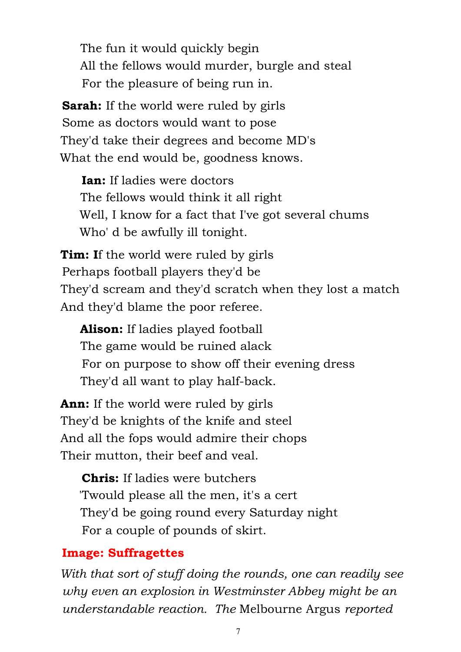The fun it would quickly begin All the fellows would murder, burgle and steal For the pleasure of being run in.

**Sarah:** If the world were ruled by girls Some as doctors would want to pose They'd take their degrees and become MD's What the end would be, goodness knows.

**Ian:** If ladies were doctors The fellows would think it all right Well, I know for a fact that I've got several chums Who' d be awfully ill tonight.

**Tim: I**f the world were ruled by girls Perhaps football players they'd be They'd scream and they'd scratch when they lost a match And they'd blame the poor referee.

**Alison:** If ladies played football The game would be ruined alack For on purpose to show off their evening dress They'd all want to play half-back.

**Ann:** If the world were ruled by girls They'd be knights of the knife and steel And all the fops would admire their chops Their mutton, their beef and veal.

**Chris:** If ladies were butchers 'Twould please all the men, it's a cert They'd be going round every Saturday night For a couple of pounds of skirt.

#### **Image: Suffragettes**

*With that sort of stuff doing the rounds, one can readily see why even an explosion in Westminster Abbey might be an understandable reaction. The* Melbourne Argus *reported*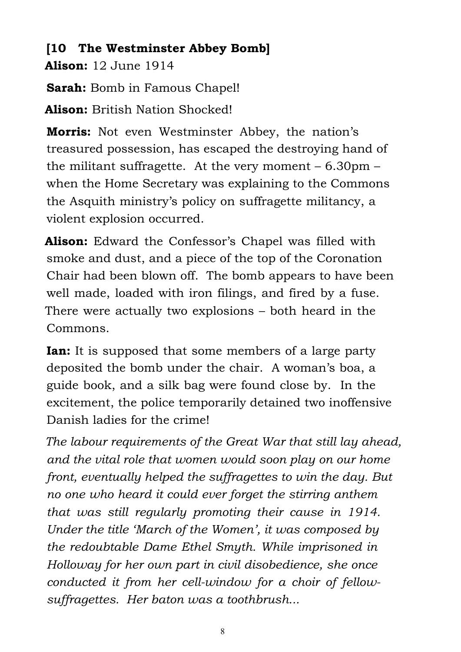## **[10 The Westminster Abbey Bomb]**

**Alison:** 12 June 1914

**Sarah:** Bomb in Famous Chapel!

**Alison:** British Nation Shocked!

**Morris:** Not even Westminster Abbey, the nation's treasured possession, has escaped the destroying hand of the militant suffragette. At the very moment – 6.30pm – when the Home Secretary was explaining to the Commons the Asquith ministry's policy on suffragette militancy, a violent explosion occurred.

**Alison:** Edward the Confessor's Chapel was filled with smoke and dust, and a piece of the top of the Coronation Chair had been blown off. The bomb appears to have been well made, loaded with iron filings, and fired by a fuse. There were actually two explosions – both heard in the Commons.

**Ian:** It is supposed that some members of a large party deposited the bomb under the chair. A woman's boa, a guide book, and a silk bag were found close by. In the excitement, the police temporarily detained two inoffensive Danish ladies for the crime!

*The labour requirements of the Great War that still lay ahead, and the vital role that women would soon play on our home front, eventually helped the suffragettes to win the day. But no one who heard it could ever forget the stirring anthem that was still regularly promoting their cause in 1914. Under the title 'March of the Women', it was composed by the redoubtable Dame Ethel Smyth. While imprisoned in Holloway for her own part in civil disobedience, she once conducted it from her cell-window for a choir of fellowsuffragettes. Her baton was a toothbrush...*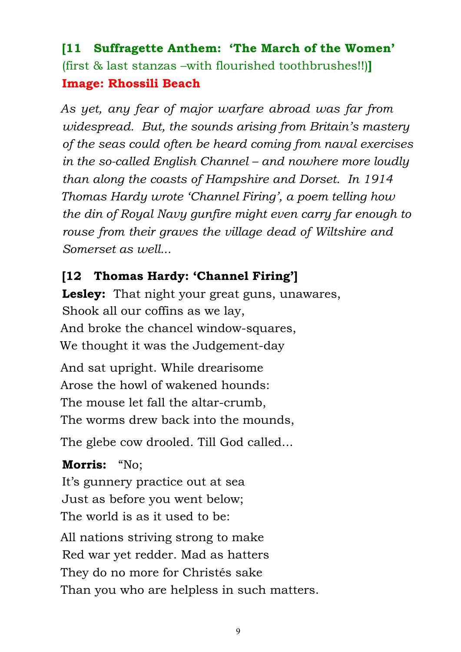## **[11 Suffragette Anthem: 'The March of the Women'** (first & last stanzas –with flourished toothbrushes!!)**] Image: Rhossili Beach**

*As yet, any fear of major warfare abroad was far from widespread. But, the sounds arising from Britain's mastery of the seas could often be heard coming from naval exercises in the so-called English Channel – and nowhere more loudly than along the coasts of Hampshire and Dorset. In 1914 Thomas Hardy wrote 'Channel Firing', a poem telling how the din of Royal Navy gunfire might even carry far enough to rouse from their graves the village dead of Wiltshire and Somerset as well...*

### **[12 Thomas Hardy: 'Channel Firing']**

**Lesley:** That night your great guns, unawares, Shook all our coffins as we lay, And broke the chancel window-squares, We thought it was the Judgement-day

And sat upright. While drearisome Arose the howl of wakened hounds: The mouse let fall the altar-crumb, The worms drew back into the mounds,

The glebe cow drooled. Till God called...

**Morris:** "No; It's gunnery practice out at sea Just as before you went below; The world is as it used to be: All nations striving strong to make Red war yet redder. Mad as hatters They do no more for Christés sake Than you who are helpless in such matters.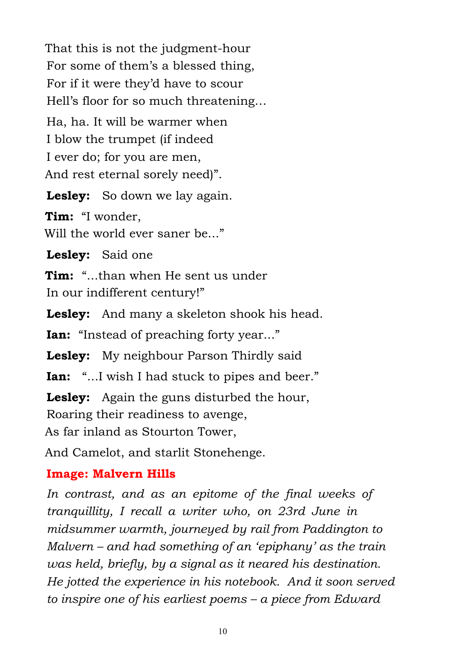That this is not the judgment-hour For some of them's a blessed thing, For if it were they'd have to scour Hell's floor for so much threatening… Ha, ha. It will be warmer when I blow the trumpet (if indeed I ever do; for you are men, And rest eternal sorely need)".

**Lesley:** So down we lay again.

**Tim:** "I wonder, Will the world ever saner be...."

**Lesley:** Said one

**Tim:** "...than when He sent us under In our indifferent century!"

**Lesley:** And many a skeleton shook his head.

**Ian:** "Instead of preaching forty year..."

**Lesley:** My neighbour Parson Thirdly said

**Ian:** "...I wish I had stuck to pipes and beer."

**Lesley:** Again the guns disturbed the hour, Roaring their readiness to avenge,

As far inland as Stourton Tower,

And Camelot, and starlit Stonehenge.

#### **Image: Malvern Hills**

*In contrast, and as an epitome of the final weeks of tranquillity, I recall a writer who, on 23rd June in midsummer warmth, journeyed by rail from Paddington to Malvern – and had something of an 'epiphany' as the train was held, briefly, by a signal as it neared his destination. He jotted the experience in his notebook. And it soon served to inspire one of his earliest poems – a piece from Edward*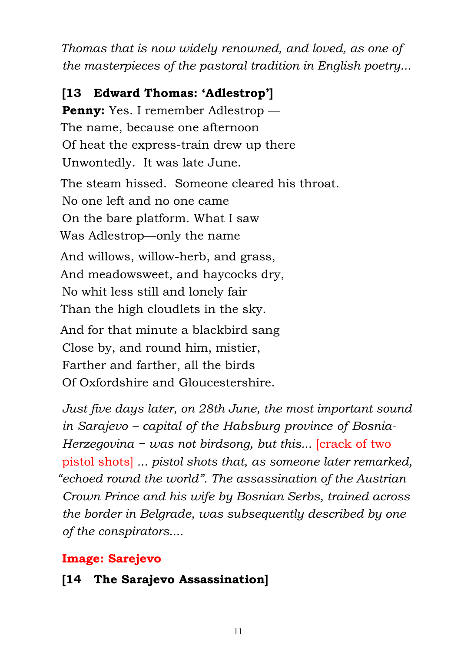*Thomas that is now widely renowned, and loved, as one of the masterpieces of the pastoral tradition in English poetry...*

**[13 Edward Thomas: 'Adlestrop'] Penny:** Yes. I remember Adlestrop — The name, because one afternoon Of heat the express-train drew up there Unwontedly. It was late June. The steam hissed. Someone cleared his throat. No one left and no one came On the bare platform. What I saw Was Adlestrop—only the name And willows, willow-herb, and grass, And meadowsweet, and haycocks dry, No whit less still and lonely fair Than the high cloudlets in the sky. And for that minute a blackbird sang Close by, and round him, mistier, Farther and farther, all the birds Of Oxfordshire and Gloucestershire.

*Just five days later, on 28th June, the most important sound in Sarajevo – capital of the Habsburg province of Bosnia-Herzegovina − was not birdsong, but this...* [crack of two pistol shots] *... pistol shots that, as someone later remarked, "echoed round the world". The assassination of the Austrian Crown Prince and his wife by Bosnian Serbs, trained across the border in Belgrade, was subsequently described by one of the conspirators....*

### **Image: Sarejevo**

### **[14 The Sarajevo Assassination]**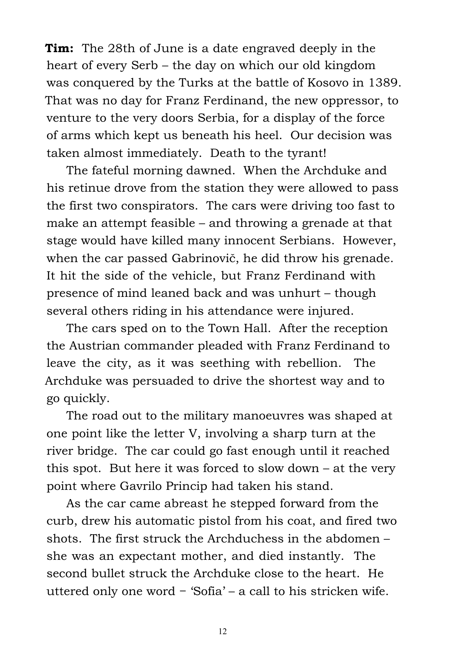**Tim:** The 28th of June is a date engraved deeply in the heart of every Serb – the day on which our old kingdom was conquered by the Turks at the battle of Kosovo in 1389. That was no day for Franz Ferdinand, the new oppressor, to venture to the very doors Serbia, for a display of the force of arms which kept us beneath his heel. Our decision was taken almost immediately. Death to the tyrant!

 The fateful morning dawned. When the Archduke and his retinue drove from the station they were allowed to pass the first two conspirators. The cars were driving too fast to make an attempt feasible – and throwing a grenade at that stage would have killed many innocent Serbians. However, when the car passed Gabrinovič, he did throw his grenade. It hit the side of the vehicle, but Franz Ferdinand with presence of mind leaned back and was unhurt – though several others riding in his attendance were injured.

 The cars sped on to the Town Hall. After the reception the Austrian commander pleaded with Franz Ferdinand to leave the city, as it was seething with rebellion. The Archduke was persuaded to drive the shortest way and to go quickly.

 The road out to the military manoeuvres was shaped at one point like the letter V, involving a sharp turn at the river bridge. The car could go fast enough until it reached this spot. But here it was forced to slow down – at the very point where Gavrilo Princip had taken his stand.

 As the car came abreast he stepped forward from the curb, drew his automatic pistol from his coat, and fired two shots. The first struck the Archduchess in the abdomen – she was an expectant mother, and died instantly. The second bullet struck the Archduke close to the heart. He uttered only one word − 'Sofia' – a call to his stricken wife.

12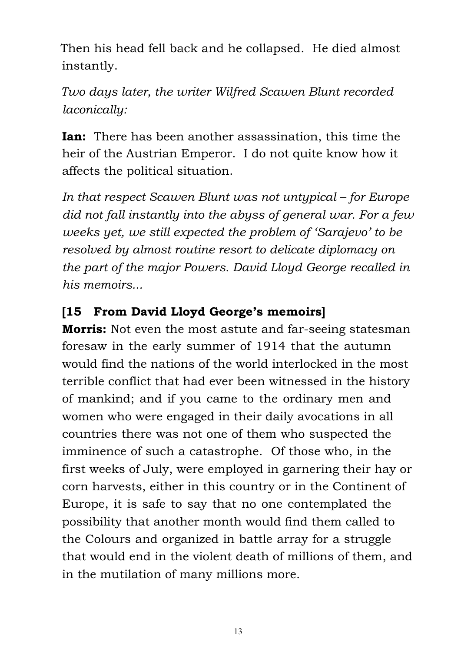Then his head fell back and he collapsed. He died almost instantly.

## *Two days later, the writer Wilfred Scawen Blunt recorded laconically:*

**Ian:** There has been another assassination, this time the heir of the Austrian Emperor. I do not quite know how it affects the political situation.

*In that respect Scawen Blunt was not untypical – for Europe did not fall instantly into the abyss of general war. For a few weeks yet, we still expected the problem of 'Sarajevo' to be resolved by almost routine resort to delicate diplomacy on the part of the major Powers. David Lloyd George recalled in his memoirs...*

### **[15 From David Lloyd George's memoirs]**

**Morris:** Not even the most astute and far-seeing statesman foresaw in the early summer of 1914 that the autumn would find the nations of the world interlocked in the most terrible conflict that had ever been witnessed in the history of mankind; and if you came to the ordinary men and women who were engaged in their daily avocations in all countries there was not one of them who suspected the imminence of such a catastrophe. Of those who, in the first weeks of July, were employed in garnering their hay or corn harvests, either in this country or in the Continent of Europe, it is safe to say that no one contemplated the possibility that another month would find them called to the Colours and organized in battle array for a struggle that would end in the violent death of millions of them, and in the mutilation of many millions more.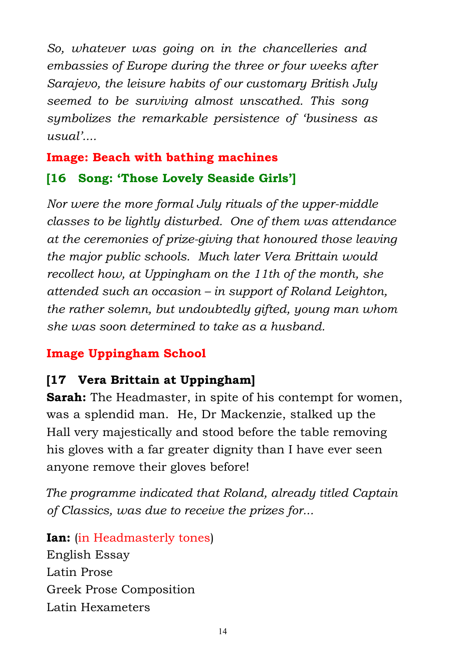*So, whatever was going on in the chancelleries and embassies of Europe during the three or four weeks after Sarajevo, the leisure habits of our customary British July seemed to be surviving almost unscathed. This song symbolizes the remarkable persistence of 'business as usual'....*

# **Image: Beach with bathing machines [16 Song: 'Those Lovely Seaside Girls']**

*Nor were the more formal July rituals of the upper-middle classes to be lightly disturbed. One of them was attendance at the ceremonies of prize-giving that honoured those leaving the major public schools. Much later Vera Brittain would recollect how, at Uppingham on the 11th of the month, she attended such an occasion – in support of Roland Leighton, the rather solemn, but undoubtedly gifted, young man whom she was soon determined to take as a husband.*

## **Image Uppingham School**

## **[17 Vera Brittain at Uppingham]**

**Sarah:** The Headmaster, in spite of his contempt for women, was a splendid man. He, Dr Mackenzie, stalked up the Hall very majestically and stood before the table removing his gloves with a far greater dignity than I have ever seen anyone remove their gloves before!

*The programme indicated that Roland, already titled Captain of Classics, was due to receive the prizes for...*

**Ian:** (in Headmasterly tones) English Essay Latin Prose Greek Prose Composition Latin Hexameters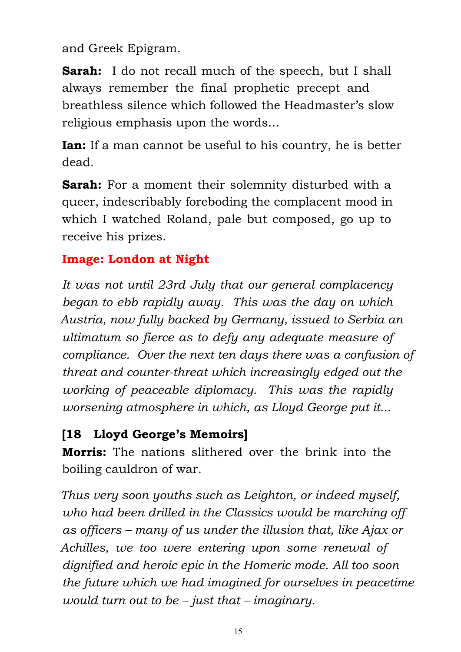and Greek Epigram.

**Sarah:** I do not recall much of the speech, but I shall always remember the final prophetic precept and breathless silence which followed the Headmaster's slow religious emphasis upon the words...

**Ian:** If a man cannot be useful to his country, he is better dead.

**Sarah:** For a moment their solemnity disturbed with a queer, indescribably foreboding the complacent mood in which I watched Roland, pale but composed, go up to receive his prizes.

### **Image: London at Night**

*It was not until 23rd July that our general complacency began to ebb rapidly away. This was the day on which Austria, now fully backed by Germany, issued to Serbia an ultimatum so fierce as to defy any adequate measure of compliance. Over the next ten days there was a confusion of threat and counter-threat which increasingly edged out the working of peaceable diplomacy. This was the rapidly worsening atmosphere in which, as Lloyd George put it...*

### **[18 Lloyd George's Memoirs]**

**Morris:** The nations slithered over the brink into the boiling cauldron of war.

*Thus very soon youths such as Leighton, or indeed myself, who had been drilled in the Classics would be marching off as officers – many of us under the illusion that, like Ajax or Achilles, we too were entering upon some renewal of dignified and heroic epic in the Homeric mode. All too soon the future which we had imagined for ourselves in peacetime would turn out to be – just that – imaginary.*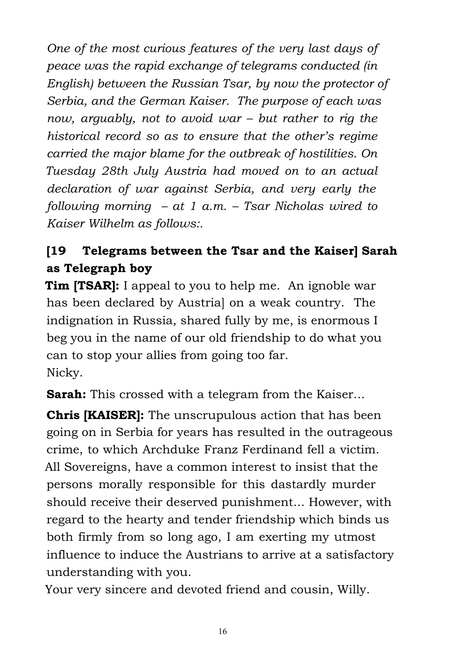*One of the most curious features of the very last days of peace was the rapid exchange of telegrams conducted (in English) between the Russian Tsar, by now the protector of Serbia, and the German Kaiser. The purpose of each was now, arguably, not to avoid war – but rather to rig the historical record so as to ensure that the other's regime carried the major blame for the outbreak of hostilities. On Tuesday 28th July Austria had moved on to an actual declaration of war against Serbia, and very early the following morning – at 1 a.m. – Tsar Nicholas wired to Kaiser Wilhelm as follows:.*

# **[19 Telegrams between the Tsar and the Kaiser] Sarah as Telegraph boy**

**Tim [TSAR]:** I appeal to you to help me. An ignoble war has been declared by Austria] on a weak country. The indignation in Russia, shared fully by me, is enormous I beg you in the name of our old friendship to do what you can to stop your allies from going too far. Nicky.

**Sarah:** This crossed with a telegram from the Kaiser...

**Chris [KAISER]:** The unscrupulous action that has been going on in Serbia for years has resulted in the outrageous crime, to which Archduke Franz Ferdinand fell a victim. All Sovereigns, have a common interest to insist that the persons morally responsible for this dastardly murder should receive their deserved punishment... However, with regard to the hearty and tender friendship which binds us both firmly from so long ago, I am exerting my utmost influence to induce the Austrians to arrive at a satisfactory understanding with you.

Your very sincere and devoted friend and cousin, Willy.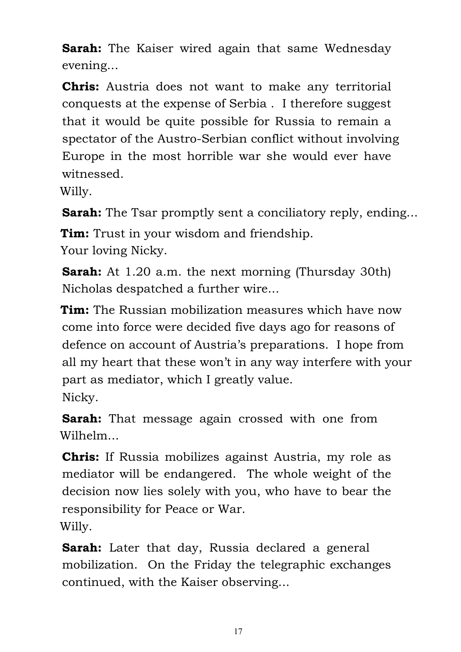**Sarah:** The Kaiser wired again that same Wednesday evening...

**Chris:** Austria does not want to make any territorial conquests at the expense of Serbia . I therefore suggest that it would be quite possible for Russia to remain a spectator of the Austro-Serbian conflict without involving Europe in the most horrible war she would ever have witnessed.

Willy.

**Sarah:** The Tsar promptly sent a conciliatory reply, ending...

**Tim:** Trust in your wisdom and friendship. Your loving Nicky.

**Sarah:** At 1.20 a.m. the next morning (Thursday 30th) Nicholas despatched a further wire...

**Tim:** The Russian mobilization measures which have now come into force were decided five days ago for reasons of defence on account of Austria's preparations. I hope from all my heart that these won't in any way interfere with your part as mediator, which I greatly value. Nicky.

**Sarah:** That message again crossed with one from Wilhelm

**Chris:** If Russia mobilizes against Austria, my role as mediator will be endangered. The whole weight of the decision now lies solely with you, who have to bear the responsibility for Peace or War. Willy.

**Sarah:** Later that day, Russia declared a general mobilization. On the Friday the telegraphic exchanges continued, with the Kaiser observing...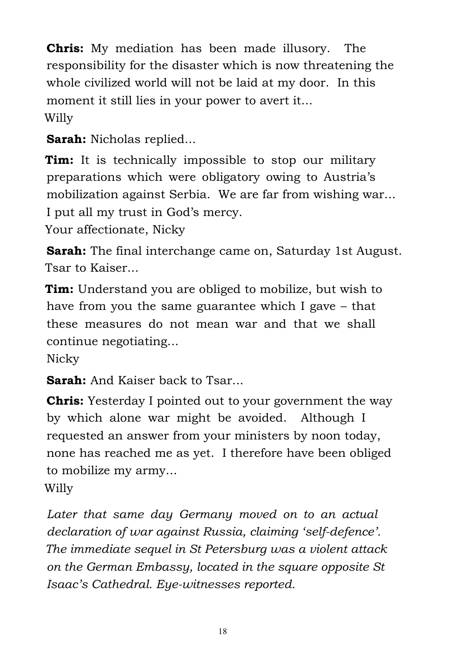**Chris:** My mediation has been made illusory. The responsibility for the disaster which is now threatening the whole civilized world will not be laid at my door. In this moment it still lies in your power to avert it... Willy

**Sarah:** Nicholas replied...

**Tim:** It is technically impossible to stop our military preparations which were obligatory owing to Austria's mobilization against Serbia. We are far from wishing war... I put all my trust in God's mercy.

Your affectionate, Nicky

**Sarah:** The final interchange came on, Saturday 1st August. Tsar to Kaiser...

**Tim:** Understand you are obliged to mobilize, but wish to have from you the same guarantee which I gave – that these measures do not mean war and that we shall continue negotiating...

Nicky

**Sarah:** And Kaiser back to Tsar...

**Chris:** Yesterday I pointed out to your government the way by which alone war might be avoided. Although I requested an answer from your ministers by noon today, none has reached me as yet. I therefore have been obliged to mobilize my army... Willy

*Later that same day Germany moved on to an actual declaration of war against Russia, claiming 'self-defence'. The immediate sequel in St Petersburg was a violent attack on the German Embassy, located in the square opposite St Isaac's Cathedral. Eye-witnesses reported.*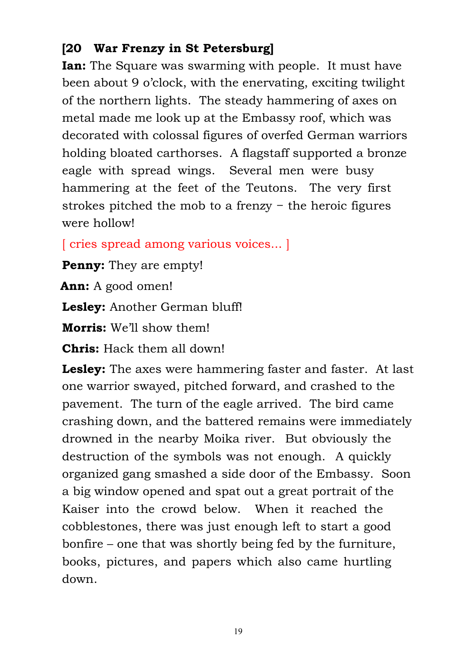### **[20 War Frenzy in St Petersburg]**

**Ian:** The Square was swarming with people. It must have been about 9 o'clock, with the enervating, exciting twilight of the northern lights. The steady hammering of axes on metal made me look up at the Embassy roof, which was decorated with colossal figures of overfed German warriors holding bloated carthorses. A flagstaff supported a bronze eagle with spread wings. Several men were busy hammering at the feet of the Teutons. The very first strokes pitched the mob to a frenzy − the heroic figures were hollow!

[ cries spread among various voices... ]

**Penny:** They are empty!

**Ann:** A good omen!

**Lesley:** Another German bluff!

**Morris:** We'll show them!

**Chris:** Hack them all down!

**Lesley:** The axes were hammering faster and faster. At last one warrior swayed, pitched forward, and crashed to the pavement. The turn of the eagle arrived. The bird came crashing down, and the battered remains were immediately drowned in the nearby Moika river. But obviously the destruction of the symbols was not enough. A quickly organized gang smashed a side door of the Embassy. Soon a big window opened and spat out a great portrait of the Kaiser into the crowd below. When it reached the cobblestones, there was just enough left to start a good bonfire – one that was shortly being fed by the furniture, books, pictures, and papers which also came hurtling down.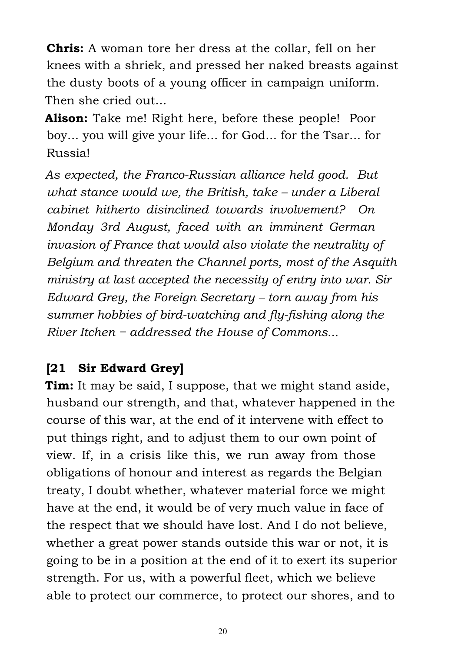**Chris:** A woman tore her dress at the collar, fell on her knees with a shriek, and pressed her naked breasts against the dusty boots of a young officer in campaign uniform. Then she cried out...

**Alison:** Take me! Right here, before these people! Poor boy... you will give your life... for God... for the Tsar... for Russia!

*As expected, the Franco-Russian alliance held good. But what stance would we, the British, take – under a Liberal cabinet hitherto disinclined towards involvement? On Monday 3rd August, faced with an imminent German invasion of France that would also violate the neutrality of Belgium and threaten the Channel ports, most of the Asquith ministry at last accepted the necessity of entry into war. Sir Edward Grey, the Foreign Secretary – torn away from his summer hobbies of bird-watching and fly-fishing along the River Itchen − addressed the House of Commons...*

### **[21 Sir Edward Grey]**

**Tim:** It may be said, I suppose, that we might stand aside, husband our strength, and that, whatever happened in the course of this war, at the end of it intervene with effect to put things right, and to adjust them to our own point of view. If, in a crisis like this, we run away from those obligations of honour and interest as regards the Belgian treaty, I doubt whether, whatever material force we might have at the end, it would be of very much value in face of the respect that we should have lost. And I do not believe, whether a great power stands outside this war or not, it is going to be in a position at the end of it to exert its superior strength. For us, with a powerful fleet, which we believe able to protect our commerce, to protect our shores, and to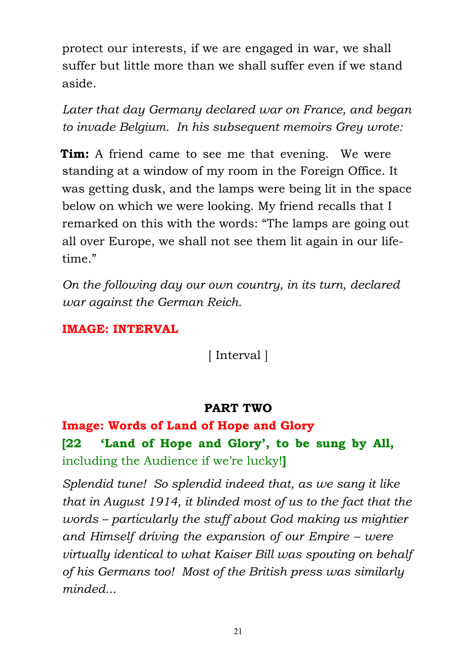protect our interests, if we are engaged in war, we shall suffer but little more than we shall suffer even if we stand aside.

*Later that day Germany declared war on France, and began to invade Belgium. In his subsequent memoirs Grey wrote:*

**Tim:** A friend came to see me that evening. We were standing at a window of my room in the Foreign Office. It was getting dusk, and the lamps were being lit in the space below on which we were looking. My friend recalls that I remarked on this with the words: "The lamps are going out all over Europe, we shall not see them lit again in our lifetime."

*On the following day our own country, in its turn, declared war against the German Reich.*

#### **IMAGE: INTERVAL**

[ Interval ]

#### **PART TWO**

## **Image: Words of Land of Hope and Glory [22 'Land of Hope and Glory', to be sung by All,** including the Audience if we're lucky!**]**

*Splendid tune! So splendid indeed that, as we sang it like that in August 1914, it blinded most of us to the fact that the words – particularly the stuff about God making us mightier and Himself driving the expansion of our Empire – were virtually identical to what Kaiser Bill was spouting on behalf of his Germans too! Most of the British press was similarly minded...*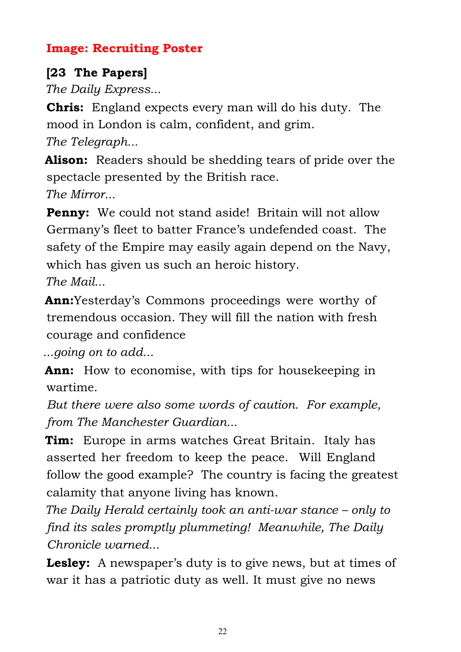### **Image: Recruiting Poster**

## **[23 The Papers]**

*The Daily Express...*

**Chris:** England expects every man will do his duty. The mood in London is calm, confident, and grim. *The Telegraph...*

**Alison:** Readers should be shedding tears of pride over the spectacle presented by the British race. *The Mirror...*

**Penny:** We could not stand aside! Britain will not allow Germany's fleet to batter France's undefended coast. The safety of the Empire may easily again depend on the Navy, which has given us such an heroic history.

*The Mail...*

**Ann:**Yesterday's Commons proceedings were worthy of tremendous occasion. They will fill the nation with fresh courage and confidence

*...going on to add...*

**Ann:** How to economise, with tips for house keeping in wartime.

*But there were also some words of caution. For example, from The Manchester Guardian...*

**Tim:** Europe in arms watches Great Britain. Italy has asserted her freedom to keep the peace. Will England follow the good example? The country is facing the greatest calamity that anyone living has known.

*The Daily Herald certainly took an anti-war stance – only to find its sales promptly plummeting! Meanwhile, The Daily Chronicle warned...*

**Lesley:** A newspaper's duty is to give news, but at times of war it has a patriotic duty as well. It must give no news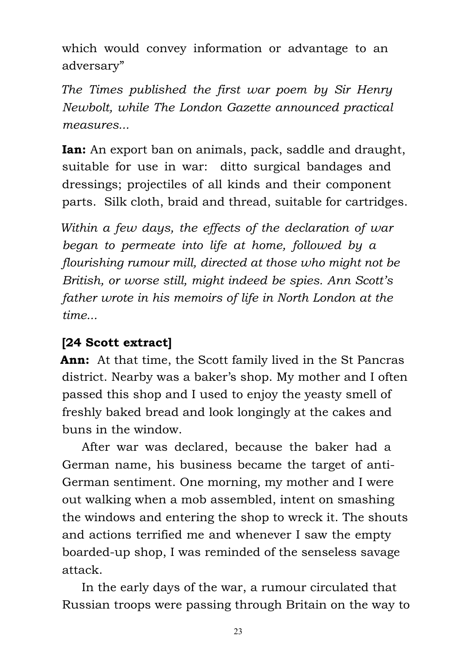which would convey information or advantage to an adversary"

*The Times published the first war poem by Sir Henry Newbolt, while The London Gazette announced practical measures...*

**Ian:** An export ban on animals, pack, saddle and draught, suitable for use in war: ditto surgical bandages and dressings; projectiles of all kinds and their component parts. Silk cloth, braid and thread, suitable for cartridges.

*Within a few days, the effects of the declaration of war began to permeate into life at home, followed by a flourishing rumour mill, directed at those who might not be British, or worse still, might indeed be spies. Ann Scott's father wrote in his memoirs of life in North London at the time...*

### **[24 Scott extract]**

**Ann:** At that time, the Scott family lived in the St Pancras district. Nearby was a baker's shop. My mother and I often passed this shop and I used to enjoy the yeasty smell of freshly baked bread and look longingly at the cakes and buns in the window.

 After war was declared, because the baker had a German name, his business became the target of anti-German sentiment. One morning, my mother and I were out walking when a mob assembled, intent on smashing the windows and entering the shop to wreck it. The shouts and actions terrified me and whenever I saw the empty boarded-up shop, I was reminded of the senseless savage attack.

 In the early days of the war, a rumour circulated that Russian troops were passing through Britain on the way to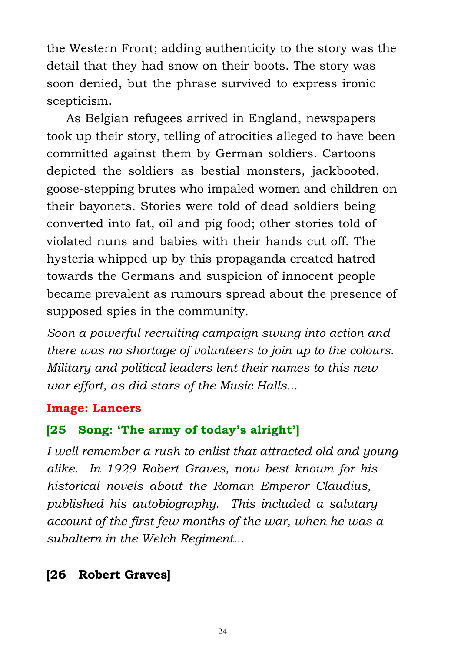the Western Front; adding authenticity to the story was the detail that they had snow on their boots. The story was soon denied, but the phrase survived to express ironic scepticism.

 As Belgian refugees arrived in England, newspapers took up their story, telling of atrocities alleged to have been committed against them by German soldiers. Cartoons depicted the soldiers as bestial monsters, jackbooted, goose-stepping brutes who impaled women and children on their bayonets. Stories were told of dead soldiers being converted into fat, oil and pig food; other stories told of violated nuns and babies with their hands cut off. The hysteria whipped up by this propaganda created hatred towards the Germans and suspicion of innocent people became prevalent as rumours spread about the presence of supposed spies in the community.

*Soon a powerful recruiting campaign swung into action and there was no shortage of volunteers to join up to the colours. Military and political leaders lent their names to this new war effort, as did stars of the Music Halls...*

#### **Image: Lancers**

### **[25 Song: 'The army of today's alright']**

*I well remember a rush to enlist that attracted old and young alike. In 1929 Robert Graves, now best known for his historical novels about the Roman Emperor Claudius, published his autobiography. This included a salutary account of the first few months of the war, when he was a subaltern in the Welch Regiment...*

#### **[26 Robert Graves]**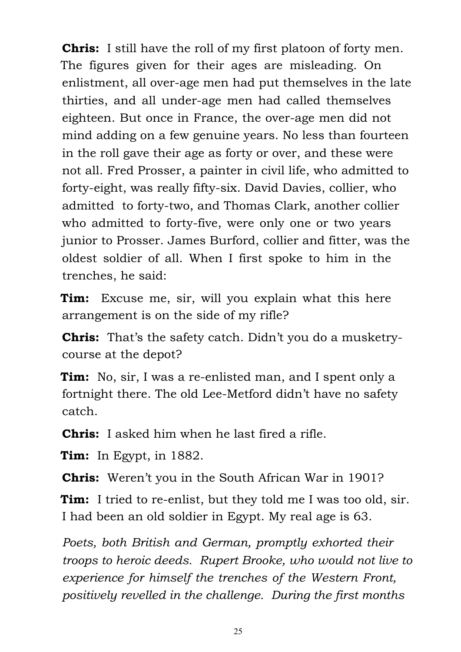**Chris:** I still have the roll of my first platoon of forty men. The figures given for their ages are misleading. On enlistment, all over-age men had put themselves in the late thirties, and all under-age men had called themselves eighteen. But once in France, the over-age men did not mind adding on a few genuine years. No less than fourteen in the roll gave their age as forty or over, and these were not all. Fred Prosser, a painter in civil life, who admitted to forty-eight, was really fifty-six. David Davies, collier, who admitted to forty-two, and Thomas Clark, another collier who admitted to forty-five, were only one or two years junior to Prosser. James Burford, collier and fitter, was the oldest soldier of all. When I first spoke to him in the trenches, he said:

**Tim:** Excuse me, sir, will you explain what this here arrangement is on the side of my rifle?

**Chris:** That's the safety catch. Didn't you do a musketrycourse at the depot?

**Tim:** No, sir, I was a re-enlisted man, and I spent only a fortnight there. The old Lee-Metford didn't have no safety catch.

**Chris:** I asked him when he last fired a rifle.

**Tim:** In Egypt, in 1882.

**Chris:** Weren't you in the South African War in 1901?

**Tim:** I tried to re-enlist, but they told me I was too old, sir. I had been an old soldier in Egypt. My real age is 63.

*Poets, both British and German, promptly exhorted their troops to heroic deeds. Rupert Brooke, who would not live to experience for himself the trenches of the Western Front, positively revelled in the challenge. During the first months*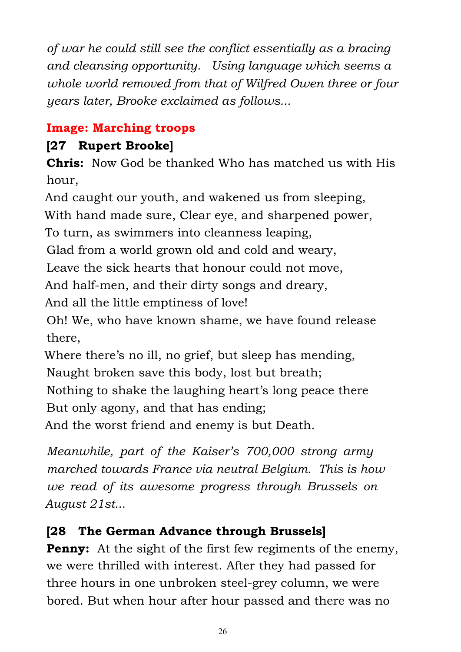*of war he could still see the conflict essentially as a bracing and cleansing opportunity. Using language which seems a whole world removed from that of Wilfred Owen three or four years later, Brooke exclaimed as follows...*

## **Image: Marching troops**

## **[27 Rupert Brooke]**

**Chris:** Now God be thanked Who has matched us with His hour,

And caught our youth, and wakened us from sleeping, With hand made sure, Clear eye, and sharpened power,

To turn, as swimmers into cleanness leaping,

Glad from a world grown old and cold and weary,

Leave the sick hearts that honour could not move,

And half-men, and their dirty songs and dreary,

And all the little emptiness of love!

Oh! We, who have known shame, we have found release there,

Where there's no ill, no grief, but sleep has mending, Naught broken save this body, lost but breath; Nothing to shake the laughing heart's long peace there But only agony, and that has ending; And the worst friend and enemy is but Death.

*Meanwhile, part of the Kaiser's 700,000 strong army marched towards France via neutral Belgium. This is how we read of its awesome progress through Brussels on August 21st...*

### **[28 The German Advance through Brussels]**

**Penny:** At the sight of the first few regiments of the enemy, we were thrilled with interest. After they had passed for three hours in one unbroken steel-grey column, we were bored. But when hour after hour passed and there was no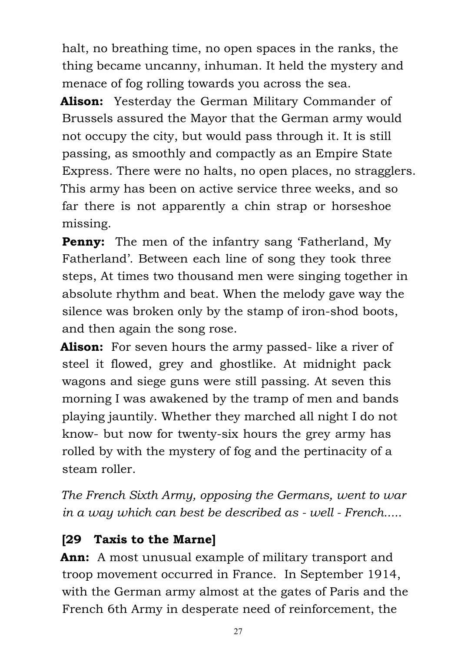halt, no breathing time, no open spaces in the ranks, the thing became uncanny, inhuman. It held the mystery and menace of fog rolling towards you across the sea.

**Alison:** Yesterday the German Military Commander of Brussels assured the Mayor that the German army would not occupy the city, but would pass through it. It is still passing, as smoothly and compactly as an Empire State Express. There were no halts, no open places, no stragglers. This army has been on active service three weeks, and so far there is not apparently a chin strap or horseshoe missing.

**Penny:** The men of the infantry sang 'Fatherland, My Fatherland'. Between each line of song they took three steps, At times two thousand men were singing together in absolute rhythm and beat. When the melody gave way the silence was broken only by the stamp of iron-shod boots, and then again the song rose.

**Alison:** For seven hours the army passed- like a river of steel it flowed, grey and ghostlike. At midnight pack wagons and siege guns were still passing. At seven this morning I was awakened by the tramp of men and bands playing jauntily. Whether they marched all night I do not know- but now for twenty-six hours the grey army has rolled by with the mystery of fog and the pertinacity of a steam roller.

*The French Sixth Army, opposing the Germans, went to war in a way which can best be described as - well - French.....*

## **[29 Taxis to the Marne]**

**Ann:** A most unusual example of military transport and troop movement occurred in France. In September 1914, with the German army almost at the gates of Paris and the French 6th Army in desperate need of reinforcement, the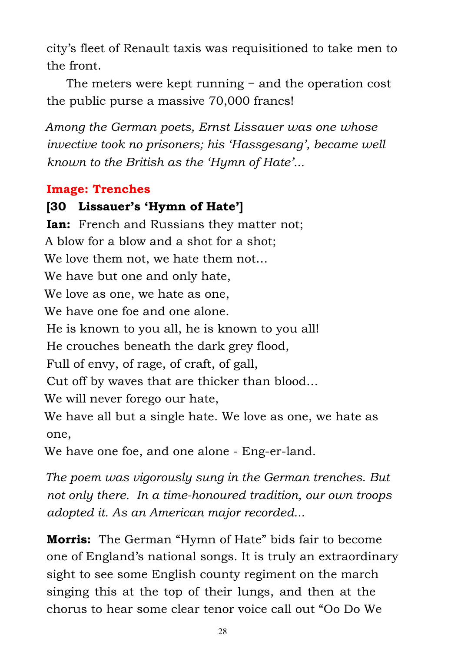city's fleet of Renault taxis was requisitioned to take men to the front.

 The meters were kept running − and the operation cost the public purse a massive 70,000 francs!

*Among the German poets, Ernst Lissauer was one whose invective took no prisoners; his 'Hassgesang', became well known to the British as the 'Hymn of Hate'...*

### **Image: Trenches**

### **[30 Lissauer's 'Hymn of Hate']**

**Ian:** French and Russians they matter not; A blow for a blow and a shot for a shot; We love them not, we hate them not… We have but one and only hate, We love as one, we hate as one, We have one foe and one alone. He is known to you all, he is known to you all! He crouches beneath the dark grey flood, Full of envy, of rage, of craft, of gall, Cut off by waves that are thicker than blood… We will never forego our hate, We have all but a single hate. We love as one, we hate as one, We have one foe, and one alone - Eng-er-land.

*The poem was vigorously sung in the German trenches. But not only there. In a time-honoured tradition, our own troops adopted it. As an American major recorded...*

**Morris:** The German "Hymn of Hate" bids fair to become one of England's national songs. It is truly an extraordinary sight to see some English county regiment on the march singing this at the top of their lungs, and then at the chorus to hear some clear tenor voice call out "Oo Do We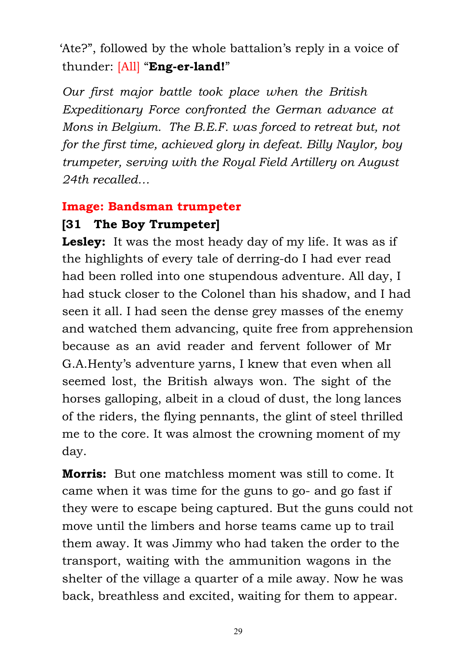'Ate?", followed by the whole battalion's reply in a voice of thunder: [All] "**Eng-er-land!**"

*Our first major battle took place when the British Expeditionary Force confronted the German advance at Mons in Belgium. The B.E.F. was forced to retreat but, not for the first time, achieved glory in defeat. Billy Naylor, boy trumpeter, serving with the Royal Field Artillery on August 24th recalled…*

### **Image: Bandsman trumpeter**

### **[31 The Boy Trumpeter]**

**Lesley:** It was the most heady day of my life. It was as if the highlights of every tale of derring-do I had ever read had been rolled into one stupendous adventure. All day, I had stuck closer to the Colonel than his shadow, and I had seen it all. I had seen the dense grey masses of the enemy and watched them advancing, quite free from apprehension because as an avid reader and fervent follower of Mr G.A.Henty's adventure yarns, I knew that even when all seemed lost, the British always won. The sight of the horses galloping, albeit in a cloud of dust, the long lances of the riders, the flying pennants, the glint of steel thrilled me to the core. It was almost the crowning moment of my day.

**Morris:** But one matchless moment was still to come. It came when it was time for the guns to go- and go fast if they were to escape being captured. But the guns could not move until the limbers and horse teams came up to trail them away. It was Jimmy who had taken the order to the transport, waiting with the ammunition wagons in the shelter of the village a quarter of a mile away. Now he was back, breathless and excited, waiting for them to appear.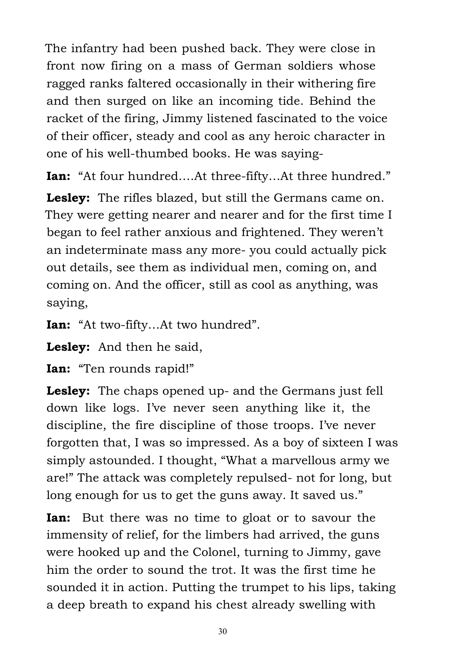The infantry had been pushed back. They were close in front now firing on a mass of German soldiers whose ragged ranks faltered occasionally in their withering fire and then surged on like an incoming tide. Behind the racket of the firing, Jimmy listened fascinated to the voice of their officer, steady and cool as any heroic character in one of his well-thumbed books. He was saying-

**Ian:** "At four hundred….At three-fifty…At three hundred."

**Lesley:** The rifles blazed, but still the Germans came on. They were getting nearer and nearer and for the first time I began to feel rather anxious and frightened. They weren't an indeterminate mass any more- you could actually pick out details, see them as individual men, coming on, and coming on. And the officer, still as cool as anything, was saying,

**Ian:** "At two-fifty…At two hundred".

**Lesley:** And then he said,

**Ian:** "Ten rounds rapid!"

**Lesley:** The chaps opened up- and the Germans just fell down like logs. I've never seen anything like it, the discipline, the fire discipline of those troops. I've never forgotten that, I was so impressed. As a boy of sixteen I was simply astounded. I thought, "What a marvellous army we are!" The attack was completely repulsed- not for long, but long enough for us to get the guns away. It saved us."

**Ian:** But there was no time to gloat or to savour the immensity of relief, for the limbers had arrived, the guns were hooked up and the Colonel, turning to Jimmy, gave him the order to sound the trot. It was the first time he sounded it in action. Putting the trumpet to his lips, taking a deep breath to expand his chest already swelling with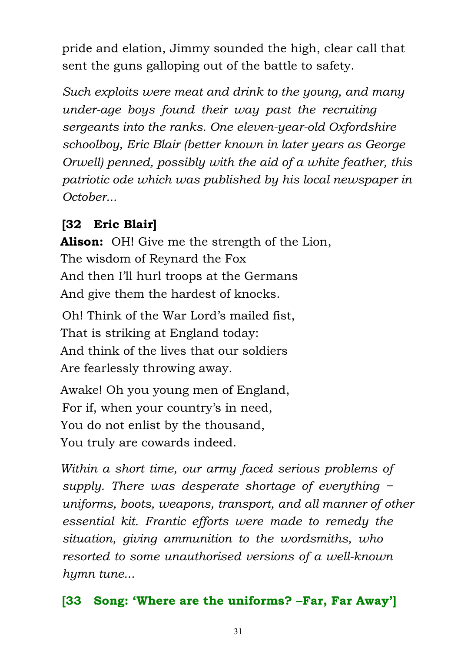pride and elation, Jimmy sounded the high, clear call that sent the guns galloping out of the battle to safety.

*Such exploits were meat and drink to the young, and many under-age boys found their way past the recruiting sergeants into the ranks. One eleven-year-old Oxfordshire schoolboy, Eric Blair (better known in later years as George Orwell) penned, possibly with the aid of a white feather, this patriotic ode which was published by his local newspaper in October...*

## **[32 Eric Blair]**

**Alison:** OH! Give me the strength of the Lion, The wisdom of Reynard the Fox And then I'll hurl troops at the Germans And give them the hardest of knocks. Oh! Think of the War Lord's mailed fist, That is striking at England today: And think of the lives that our soldiers

Are fearlessly throwing away.

Awake! Oh you young men of England, For if, when your country's in need, You do not enlist by the thousand, You truly are cowards indeed.

*Within a short time, our army faced serious problems of supply. There was desperate shortage of everything − uniforms, boots, weapons, transport, and all manner of other essential kit. Frantic efforts were made to remedy the situation, giving ammunition to the wordsmiths, who resorted to some unauthorised versions of a well-known hymn tune...*

## **[33 Song: 'Where are the uniforms? –Far, Far Away']**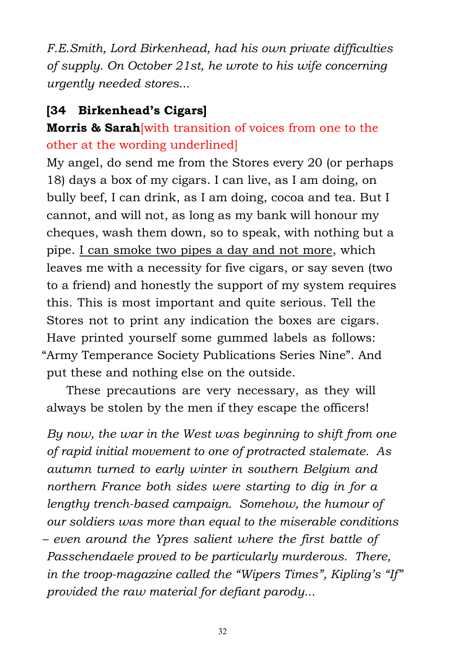*F.E.Smith, Lord Birkenhead, had his own private difficulties of supply. On October 21st, he wrote to his wife concerning urgently needed stores...*

### **[34 Birkenhead's Cigars]**

## **Morris & Sarah**[with transition of voices from one to the other at the wording underlined]

My angel, do send me from the Stores every 20 (or perhaps 18) days a box of my cigars. I can live, as I am doing, on bully beef, I can drink, as I am doing, cocoa and tea. But I cannot, and will not, as long as my bank will honour my cheques, wash them down, so to speak, with nothing but a pipe. I can smoke two pipes a day and not more, which leaves me with a necessity for five cigars, or say seven (two to a friend) and honestly the support of my system requires this. This is most important and quite serious. Tell the Stores not to print any indication the boxes are cigars. Have printed yourself some gummed labels as follows: "Army Temperance Society Publications Series Nine". And put these and nothing else on the outside.

 These precautions are very necessary, as they will always be stolen by the men if they escape the officers!

*By now, the war in the West was beginning to shift from one of rapid initial movement to one of protracted stalemate. As autumn turned to early winter in southern Belgium and northern France both sides were starting to dig in for a lengthy trench-based campaign. Somehow, the humour of our soldiers was more than equal to the miserable conditions – even around the Ypres salient where the first battle of Passchendaele proved to be particularly murderous. There, in the troop-magazine called the "Wipers Times", Kipling's "If" provided the raw material for defiant parody...*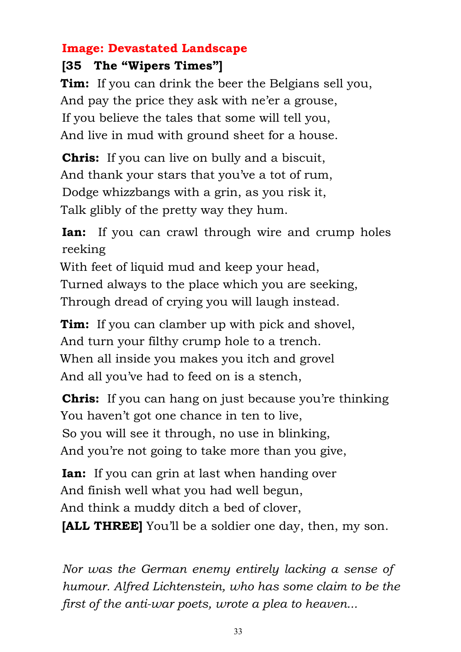### **Image: Devastated Landscape**

### **[35 The "Wipers Times"]**

**Tim:** If you can drink the beer the Belgians sell you, And pay the price they ask with ne'er a grouse, If you believe the tales that some will tell you, And live in mud with ground sheet for a house.

**Chris:** If you can live on bully and a biscuit, And thank your stars that you've a tot of rum, Dodge whizzbangs with a grin, as you risk it, Talk glibly of the pretty way they hum.

**Ian:** If you can crawl through wire and crump holes reeking

With feet of liquid mud and keep your head, Turned always to the place which you are seeking, Through dread of crying you will laugh instead.

**Tim:** If you can clamber up with pick and shovel, And turn your filthy crump hole to a trench. When all inside you makes you itch and grovel And all you've had to feed on is a stench,

**Chris:** If you can hang on just because you're thinking You haven't got one chance in ten to live, So you will see it through, no use in blinking, And you're not going to take more than you give,

**Ian:** If you can grin at last when handing over And finish well what you had well begun, And think a muddy ditch a bed of clover, **[ALL THREE]** You'll be a soldier one day, then, my son.

*Nor was the German enemy entirely lacking a sense of humour. Alfred Lichtenstein, who has some claim to be the first of the anti-war poets, wrote a plea to heaven...*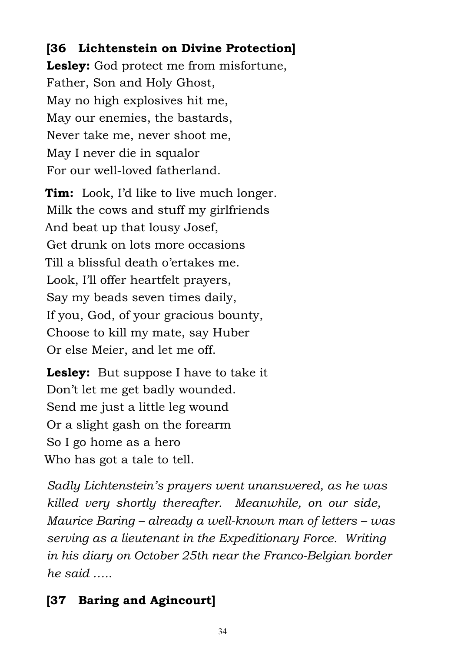### **[36 Lichtenstein on Divine Protection]**

**Lesley:** God protect me from misfortune, Father, Son and Holy Ghost, May no high explosives hit me, May our enemies, the bastards, Never take me, never shoot me, May I never die in squalor For our well-loved fatherland.

**Tim:** Look, I'd like to live much longer. Milk the cows and stuff my girlfriends And beat up that lousy Josef, Get drunk on lots more occasions Till a blissful death o'ertakes me. Look, I'll offer heartfelt prayers, Say my beads seven times daily, If you, God, of your gracious bounty, Choose to kill my mate, say Huber Or else Meier, and let me off.

**Lesley:** But suppose I have to take it Don't let me get badly wounded. Send me just a little leg wound Or a slight gash on the forearm So I go home as a hero Who has got a tale to tell.

*Sadly Lichtenstein's prayers went unanswered, as he was killed very shortly thereafter. Meanwhile, on our side, Maurice Baring – already a well-known man of letters – was serving as a lieutenant in the Expeditionary Force. Writing in his diary on October 25th near the Franco-Belgian border he said …..*

## **[37 Baring and Agincourt]**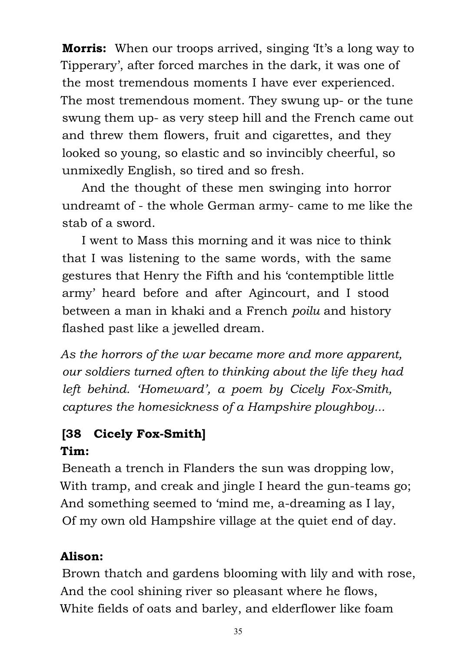**Morris:** When our troops arrived, singing 'It's a long way to Tipperary', after forced marches in the dark, it was one of the most tremendous moments I have ever experienced. The most tremendous moment. They swung up- or the tune swung them up- as very steep hill and the French came out and threw them flowers, fruit and cigarettes, and they looked so young, so elastic and so invincibly cheerful, so unmixedly English, so tired and so fresh.

 And the thought of these men swinging into horror undreamt of - the whole German army- came to me like the stab of a sword.

 I went to Mass this morning and it was nice to think that I was listening to the same words, with the same gestures that Henry the Fifth and his 'contemptible little army' heard before and after Agincourt, and I stood between a man in khaki and a French *poilu* and history flashed past like a jewelled dream.

*As the horrors of the war became more and more apparent, our soldiers turned often to thinking about the life they had left behind. 'Homeward', a poem by Cicely Fox-Smith, captures the homesickness of a Hampshire ploughboy...*

# **[38 Cicely Fox-Smith]**

### **Tim:**

Beneath a trench in Flanders the sun was dropping low. With tramp, and creak and jingle I heard the gun-teams go; And something seemed to 'mind me, a-dreaming as I lay, Of my own old Hampshire village at the quiet end of day.

### **Alison:**

Brown thatch and gardens blooming with lily and with rose, And the cool shining river so pleasant where he flows, White fields of oats and barley, and elderflower like foam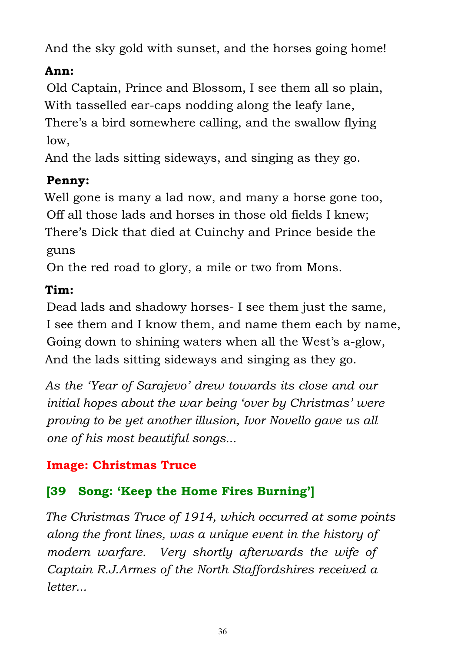And the sky gold with sunset, and the horses going home!

### **Ann:**

Old Captain, Prince and Blossom, I see them all so plain, With tasselled ear-caps nodding along the leafy lane, There's a bird somewhere calling, and the swallow flying low,

And the lads sitting sideways, and singing as they go.

### **Penny:**

Well gone is many a lad now, and many a horse gone too, Off all those lads and horses in those old fields I knew; There's Dick that died at Cuinchy and Prince beside the guns

On the red road to glory, a mile or two from Mons.

## **Tim:**

Dead lads and shadowy horses- I see them just the same, I see them and I know them, and name them each by name, Going down to shining waters when all the West's a-glow, And the lads sitting sideways and singing as they go.

*As the 'Year of Sarajevo' drew towards its close and our initial hopes about the war being 'over by Christmas' were proving to be yet another illusion, Ivor Novello gave us all one of his most beautiful songs...*

## **Image: Christmas Truce**

## **[39 Song: 'Keep the Home Fires Burning']**

*The Christmas Truce of 1914, which occurred at some points along the front lines, was a unique event in the history of modern warfare. Very shortly afterwards the wife of Captain R.J.Armes of the North Staffordshires received a letter...*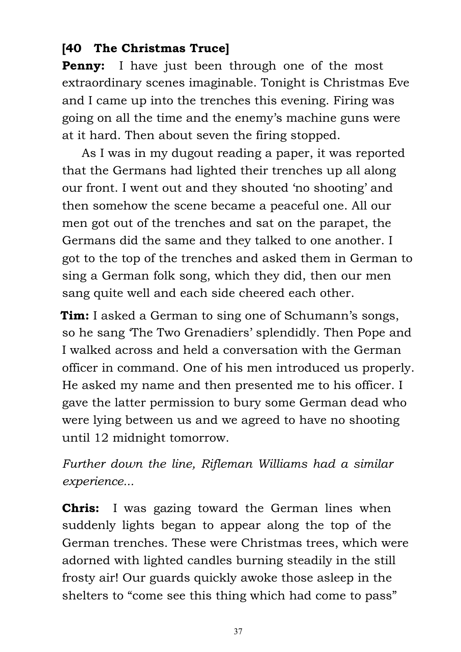### **[40 The Christmas Truce]**

**Penny:** I have just been through one of the most extraordinary scenes imaginable. Tonight is Christmas Eve and I came up into the trenches this evening. Firing was going on all the time and the enemy's machine guns were at it hard. Then about seven the firing stopped.

 As I was in my dugout reading a paper, it was reported that the Germans had lighted their trenches up all along our front. I went out and they shouted 'no shooting' and then somehow the scene became a peaceful one. All our men got out of the trenches and sat on the parapet, the Germans did the same and they talked to one another. I got to the top of the trenches and asked them in German to sing a German folk song, which they did, then our men sang quite well and each side cheered each other.

**Tim:** I asked a German to sing one of Schumann's songs, so he sang 'The Two Grenadiers' splendidly. Then Pope and I walked across and held a conversation with the German officer in command. One of his men introduced us properly. He asked my name and then presented me to his officer. I gave the latter permission to bury some German dead who were lying between us and we agreed to have no shooting until 12 midnight tomorrow.

*Further down the line, Rifleman Williams had a similar experience...*

**Chris:** I was gazing toward the German lines when suddenly lights began to appear along the top of the German trenches. These were Christmas trees, which were adorned with lighted candles burning steadily in the still frosty air! Our guards quickly awoke those asleep in the shelters to "come see this thing which had come to pass"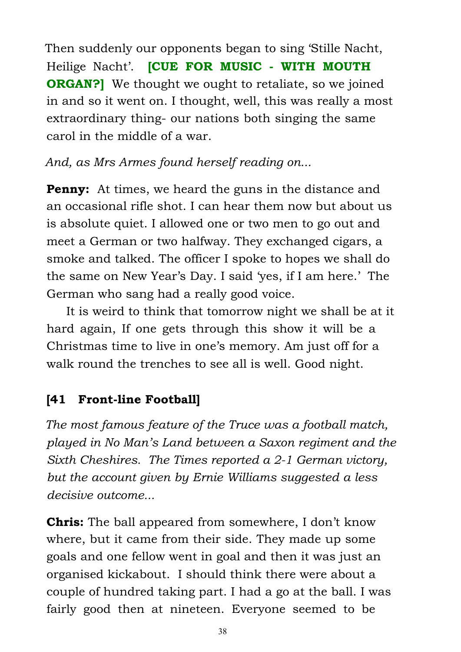Then suddenly our opponents began to sing 'Stille Nacht, Heilige Nacht'. **[CUE FOR MUSIC - WITH MOUTH ORGAN?** We thought we ought to retaliate, so we joined in and so it went on. I thought, well, this was really a most extraordinary thing- our nations both singing the same carol in the middle of a war.

*And, as Mrs Armes found herself reading on...*

**Penny:** At times, we heard the guns in the distance and an occasional rifle shot. I can hear them now but about us is absolute quiet. I allowed one or two men to go out and meet a German or two halfway. They exchanged cigars, a smoke and talked. The officer I spoke to hopes we shall do the same on New Year's Day. I said 'yes, if I am here.' The German who sang had a really good voice.

 It is weird to think that tomorrow night we shall be at it hard again, If one gets through this show it will be a Christmas time to live in one's memory. Am just off for a walk round the trenches to see all is well. Good night.

## **[41 Front-line Football]**

*The most famous feature of the Truce was a football match, played in No Man's Land between a Saxon regiment and the Sixth Cheshires. The Times reported a 2-1 German victory, but the account given by Ernie Williams suggested a less decisive outcome...*

**Chris:** The ball appeared from somewhere, I don't know where, but it came from their side. They made up some goals and one fellow went in goal and then it was just an organised kickabout. I should think there were about a couple of hundred taking part. I had a go at the ball. I was fairly good then at nineteen. Everyone seemed to be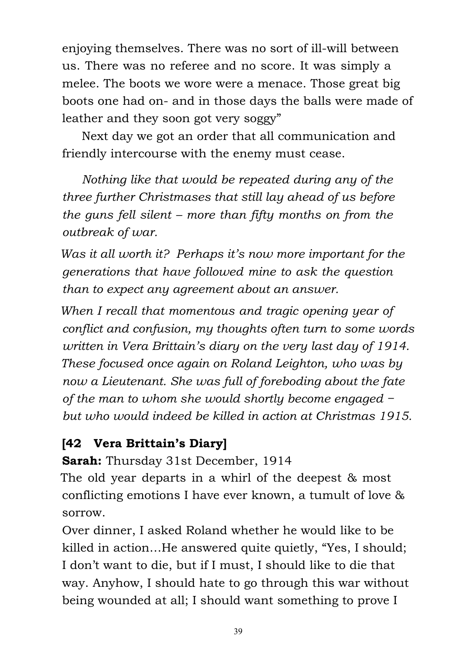enjoying themselves. There was no sort of ill-will between us. There was no referee and no score. It was simply a melee. The boots we wore were a menace. Those great big boots one had on- and in those days the balls were made of leather and they soon got very soggy"

 Next day we got an order that all communication and friendly intercourse with the enemy must cease.

*Nothing like that would be repeated during any of the three further Christmases that still lay ahead of us before the guns fell silent – more than fifty months on from the outbreak of war.*

*Was it all worth it? Perhaps it's now more important for the generations that have followed mine to ask the question than to expect any agreement about an answer.*

*When I recall that momentous and tragic opening year of conflict and confusion, my thoughts often turn to some words written in Vera Brittain's diary on the very last day of 1914. These focused once again on Roland Leighton, who was by now a Lieutenant. She was full of foreboding about the fate of the man to whom she would shortly become engaged − but who would indeed be killed in action at Christmas 1915.*

### **[42 Vera Brittain's Diary]**

**Sarah:** Thursday 31st December, 1914

The old year departs in a whirl of the deepest & most conflicting emotions I have ever known, a tumult of love & sorrow.

Over dinner, I asked Roland whether he would like to be killed in action…He answered quite quietly, "Yes, I should; I don't want to die, but if I must, I should like to die that way. Anyhow, I should hate to go through this war without being wounded at all; I should want something to prove I